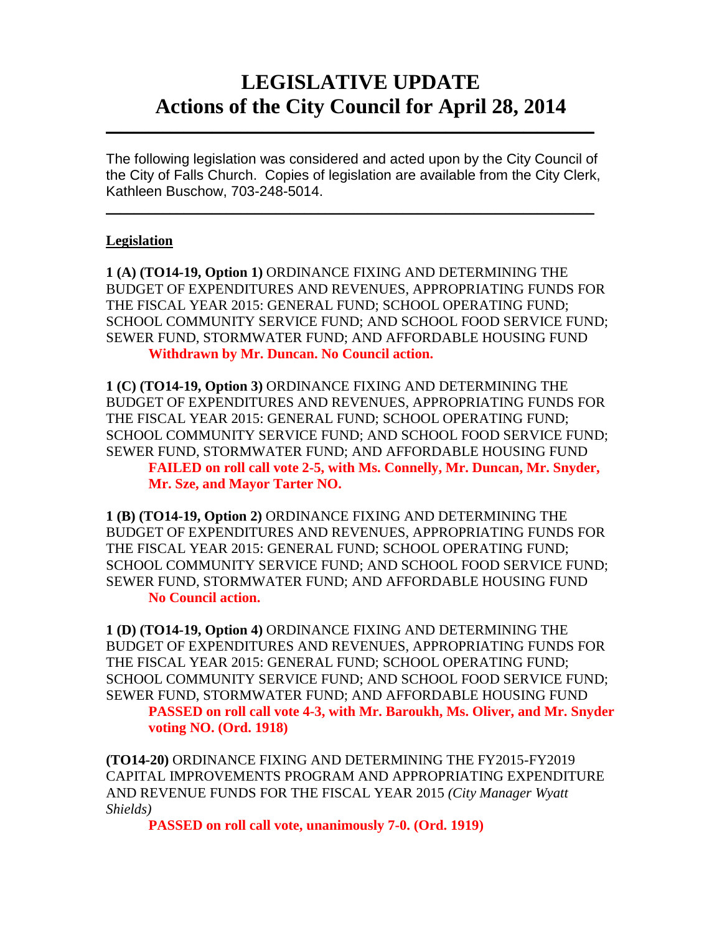## **LEGISLATIVE UPDATE Actions of the City Council for April 28, 2014**

The following legislation was considered and acted upon by the City Council of the City of Falls Church. Copies of legislation are available from the City Clerk, Kathleen Buschow, 703-248-5014.

 $\frac{1}{2}$  ,  $\frac{1}{2}$  ,  $\frac{1}{2}$  ,  $\frac{1}{2}$  ,  $\frac{1}{2}$  ,  $\frac{1}{2}$  ,  $\frac{1}{2}$  ,  $\frac{1}{2}$  ,  $\frac{1}{2}$  ,  $\frac{1}{2}$  ,  $\frac{1}{2}$  ,  $\frac{1}{2}$  ,  $\frac{1}{2}$  ,  $\frac{1}{2}$  ,  $\frac{1}{2}$  ,  $\frac{1}{2}$  ,  $\frac{1}{2}$  ,  $\frac{1}{2}$  ,  $\frac{1$ 

 $\frac{1}{2}$  ,  $\frac{1}{2}$  ,  $\frac{1}{2}$  ,  $\frac{1}{2}$  ,  $\frac{1}{2}$  ,  $\frac{1}{2}$  ,  $\frac{1}{2}$  ,  $\frac{1}{2}$  ,  $\frac{1}{2}$  ,  $\frac{1}{2}$  ,  $\frac{1}{2}$  ,  $\frac{1}{2}$  ,  $\frac{1}{2}$  ,  $\frac{1}{2}$  ,  $\frac{1}{2}$  ,  $\frac{1}{2}$  ,  $\frac{1}{2}$  ,  $\frac{1}{2}$  ,  $\frac{1$ 

## **Legislation**

**1 (A) (TO14-19, Option 1)** ORDINANCE FIXING AND DETERMINING THE BUDGET OF EXPENDITURES AND REVENUES, APPROPRIATING FUNDS FOR THE FISCAL YEAR 2015: GENERAL FUND; SCHOOL OPERATING FUND; SCHOOL COMMUNITY SERVICE FUND; AND SCHOOL FOOD SERVICE FUND; SEWER FUND, STORMWATER FUND; AND AFFORDABLE HOUSING FUND **Withdrawn by Mr. Duncan. No Council action.** 

**1 (C) (TO14-19, Option 3)** ORDINANCE FIXING AND DETERMINING THE BUDGET OF EXPENDITURES AND REVENUES, APPROPRIATING FUNDS FOR THE FISCAL YEAR 2015: GENERAL FUND; SCHOOL OPERATING FUND; SCHOOL COMMUNITY SERVICE FUND; AND SCHOOL FOOD SERVICE FUND; SEWER FUND, STORMWATER FUND; AND AFFORDABLE HOUSING FUND **FAILED on roll call vote 2-5, with Ms. Connelly, Mr. Duncan, Mr. Snyder, Mr. Sze, and Mayor Tarter NO.**

**1 (B) (TO14-19, Option 2)** ORDINANCE FIXING AND DETERMINING THE BUDGET OF EXPENDITURES AND REVENUES, APPROPRIATING FUNDS FOR THE FISCAL YEAR 2015: GENERAL FUND; SCHOOL OPERATING FUND; SCHOOL COMMUNITY SERVICE FUND; AND SCHOOL FOOD SERVICE FUND; SEWER FUND, STORMWATER FUND; AND AFFORDABLE HOUSING FUND **No Council action.**

**1 (D) (TO14-19, Option 4)** ORDINANCE FIXING AND DETERMINING THE BUDGET OF EXPENDITURES AND REVENUES, APPROPRIATING FUNDS FOR THE FISCAL YEAR 2015: GENERAL FUND; SCHOOL OPERATING FUND; SCHOOL COMMUNITY SERVICE FUND; AND SCHOOL FOOD SERVICE FUND; SEWER FUND, STORMWATER FUND; AND AFFORDABLE HOUSING FUND

**PASSED on roll call vote 4-3, with Mr. Baroukh, Ms. Oliver, and Mr. Snyder voting NO. (Ord. 1918)**

**(TO14-20)** ORDINANCE FIXING AND DETERMINING THE FY2015-FY2019 CAPITAL IMPROVEMENTS PROGRAM AND APPROPRIATING EXPENDITURE AND REVENUE FUNDS FOR THE FISCAL YEAR 2015 *(City Manager Wyatt Shields)*

**PASSED on roll call vote, unanimously 7-0. (Ord. 1919)**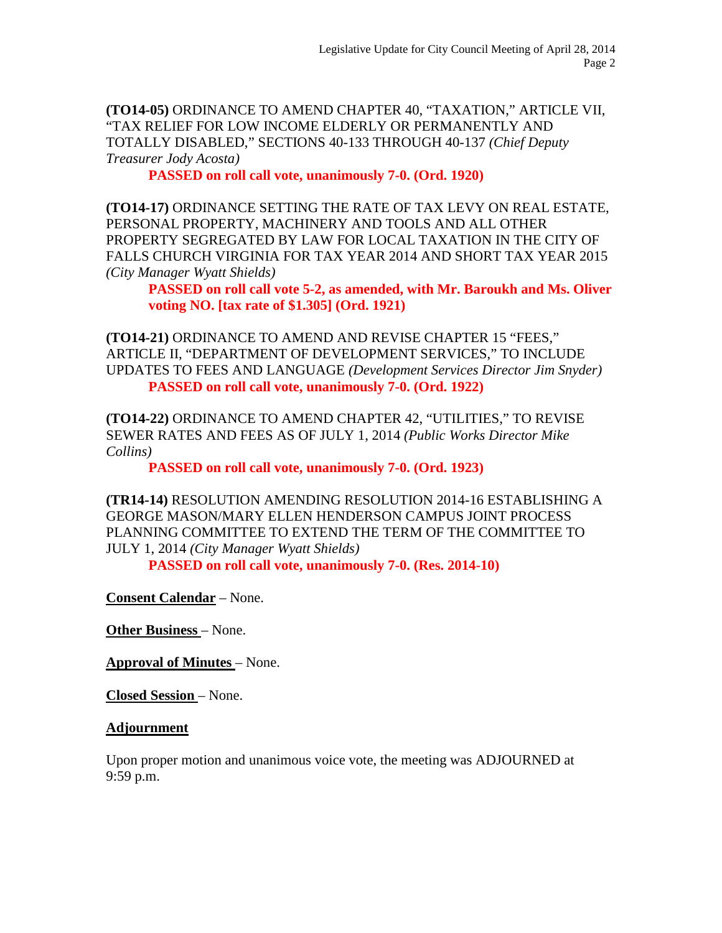**(TO14-05)** ORDINANCE TO AMEND CHAPTER 40, "TAXATION," ARTICLE VII, "TAX RELIEF FOR LOW INCOME ELDERLY OR PERMANENTLY AND TOTALLY DISABLED," SECTIONS 40-133 THROUGH 40-137 *(Chief Deputy Treasurer Jody Acosta)*

**PASSED on roll call vote, unanimously 7-0. (Ord. 1920)**

**(TO14-17)** ORDINANCE SETTING THE RATE OF TAX LEVY ON REAL ESTATE, PERSONAL PROPERTY, MACHINERY AND TOOLS AND ALL OTHER PROPERTY SEGREGATED BY LAW FOR LOCAL TAXATION IN THE CITY OF FALLS CHURCH VIRGINIA FOR TAX YEAR 2014 AND SHORT TAX YEAR 2015 *(City Manager Wyatt Shields)*

**PASSED on roll call vote 5-2, as amended, with Mr. Baroukh and Ms. Oliver voting NO. [tax rate of \$1.305] (Ord. 1921)**

**(TO14-21)** ORDINANCE TO AMEND AND REVISE CHAPTER 15 "FEES," ARTICLE II, "DEPARTMENT OF DEVELOPMENT SERVICES," TO INCLUDE UPDATES TO FEES AND LANGUAGE *(Development Services Director Jim Snyder)* **PASSED on roll call vote, unanimously 7-0. (Ord. 1922)**

**(TO14-22)** ORDINANCE TO AMEND CHAPTER 42, "UTILITIES," TO REVISE SEWER RATES AND FEES AS OF JULY 1, 2014 *(Public Works Director Mike Collins)*

**PASSED on roll call vote, unanimously 7-0. (Ord. 1923)**

**(TR14-14)** RESOLUTION AMENDING RESOLUTION 2014-16 ESTABLISHING A GEORGE MASON/MARY ELLEN HENDERSON CAMPUS JOINT PROCESS PLANNING COMMITTEE TO EXTEND THE TERM OF THE COMMITTEE TO JULY 1, 2014 *(City Manager Wyatt Shields)*

**PASSED on roll call vote, unanimously 7-0. (Res. 2014-10)**

**Consent Calendar** – None.

**Other Business** – None.

**Approval of Minutes** – None.

**Closed Session** – None.

## **Adjournment**

Upon proper motion and unanimous voice vote, the meeting was ADJOURNED at 9:59 p.m.